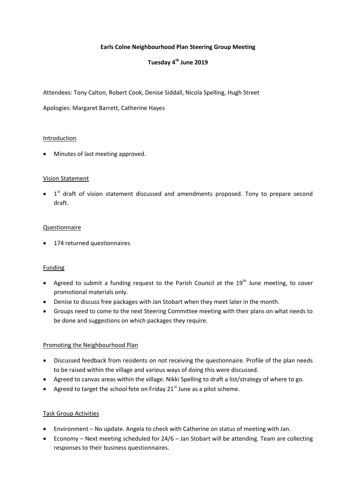# **Earls Colne Neighbourhood Plan Steering Group Meeting**

# **Tuesday 4th June 2019**

Attendees: Tony Calton, Robert Cook, Denise Siddall, Nicola Spelling, Hugh Street

Apologies: Margaret Barrett, Catherine Hayes

#### **Introduction**

Minutes of last meeting approved.

# Vision Statement

 $\bullet$  1<sup>st</sup> draft of vision statement discussed and amendments proposed. Tony to prepare second draft.

#### Questionnaire

• 174 returned questionnaires

# Funding

- Agreed to submit a funding request to the Parish Council at the  $19<sup>th</sup>$  June meeting, to cover promotional materials only.
- Denise to discuss free packages with Jan Stobart when they meet later in the month.
- Groups need to come to the next Steering Committee meeting with their plans on what needs to be done and suggestions on which packages they require.

# Promoting the Neighbourhood Plan

- Discussed feedback from residents on not receiving the questionnaire. Profile of the plan needs to be raised within the village and various ways of doing this were discussed.
- Agreed to canvas areas within the village. Nikki Spelling to draft a list/strategy of where to go.
- Agreed to target the school fete on Friday  $21^{st}$  June as a pilot scheme.

#### Task Group Activities

- Environment No update. Angela to check with Catherine on status of meeting with Jan.
- Economy Next meeting scheduled for 24/6 Jan Stobart will be attending. Team are collecting responses to their business questionnaires.